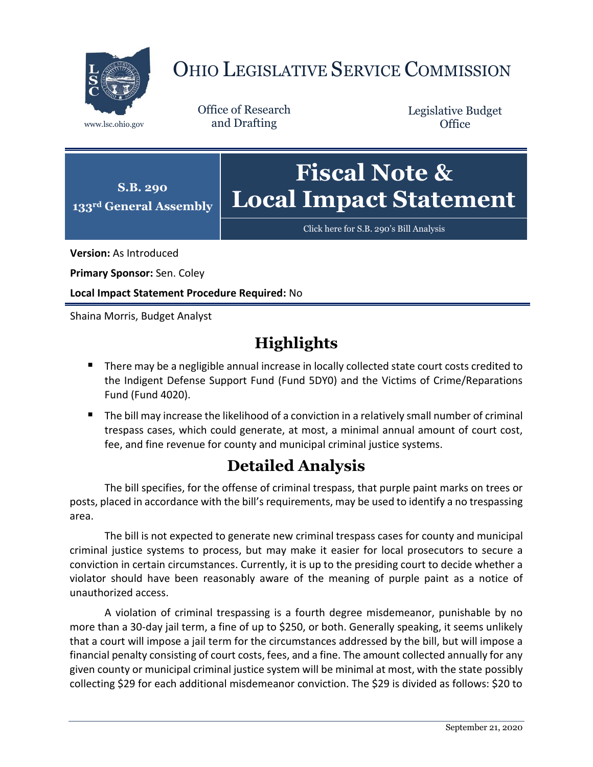

## OHIO LEGISLATIVE SERVICE COMMISSION

Office of Research www.lsc.ohio.gov and Drafting

Legislative Budget **Office** 



[Click here for S.B. 290](https://www.legislature.ohio.gov/legislation/legislation-documents?id=GA133-SB-290)'s Bill Analysis

**Version:** As Introduced

**Primary Sponsor:** Sen. Coley

**Local Impact Statement Procedure Required:** No

Shaina Morris, Budget Analyst

## **Highlights**

- **There may be a negligible annual increase in locally collected state court costs credited to** the Indigent Defense Support Fund (Fund 5DY0) and the Victims of Crime/Reparations Fund (Fund 4020).
- The bill may increase the likelihood of a conviction in a relatively small number of criminal trespass cases, which could generate, at most, a minimal annual amount of court cost, fee, and fine revenue for county and municipal criminal justice systems.

## **Detailed Analysis**

The bill specifies, for the offense of criminal trespass, that purple paint marks on trees or posts, placed in accordance with the bill's requirements, may be used to identify a no trespassing area.

The bill is not expected to generate new criminal trespass cases for county and municipal criminal justice systems to process, but may make it easier for local prosecutors to secure a conviction in certain circumstances. Currently, it is up to the presiding court to decide whether a violator should have been reasonably aware of the meaning of purple paint as a notice of unauthorized access.

A violation of criminal trespassing is a fourth degree misdemeanor, punishable by no more than a 30-day jail term, a fine of up to \$250, or both. Generally speaking, it seems unlikely that a court will impose a jail term for the circumstances addressed by the bill, but will impose a financial penalty consisting of court costs, fees, and a fine. The amount collected annually for any given county or municipal criminal justice system will be minimal at most, with the state possibly collecting \$29 for each additional misdemeanor conviction. The \$29 is divided as follows: \$20 to